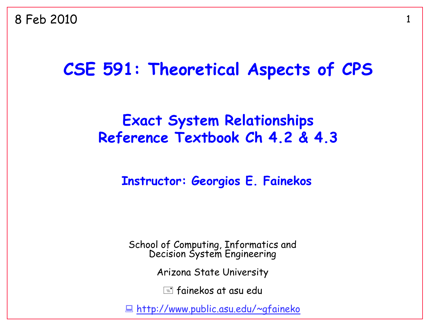#### **CSE 591: Theoretical Aspects of CPS**

#### **Exact System Relationships Reference Textbook Ch 4.2 & 4.3**

**Instructor: Georgios E. Fainekos**

School of Computing, Informatics and Decision System Engineering

Arizona State University

 $\equiv$  fainekos at asu edu

<http://www.public.asu.edu/~gfaineko>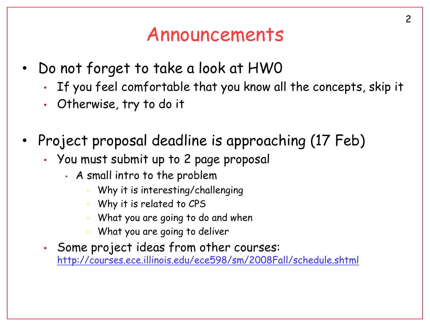### Announcements

- Do not forget to take a look at HW0
	- If you feel comfortable that you know all the concepts, skip it
	- Otherwise, try to do it
- Project proposal deadline is approaching (17 Feb)
	- You must submit up to 2 page proposal
		- A small intro to the problem
			- Why it is interesting/challenging
			- Why it is related to CPS
			- What you are going to do and when
			- What you are going to deliver
	- Some project ideas from other courses: <http://courses.ece.illinois.edu/ece598/sm/2008Fall/schedule.shtml>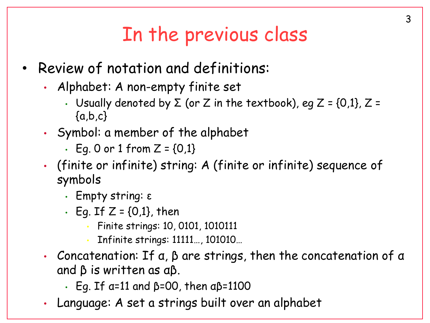## In the previous class

- Review of notation and definitions:
	- Alphabet: A non-empty finite set
		- Usually denoted by  $\Sigma$  (or Z in the textbook), eg Z = {0,1}, Z =  ${a,b,c}$
	- Symbol: a member of the alphabet
		- Eq. 0 or 1 from  $Z = \{0,1\}$
	- (finite or infinite) string: A (finite or infinite) sequence of symbols
		- Empty string: ε
		- $\cdot$  Eq. If Z = {0,1}, then
			- Finite strings: 10, 0101, 1010111
			- Infinite strings: 11111…, 101010…
	- Concatenation: If α, β are strings, then the concatenation of α and β is written as αβ.
		- Eg. If α=11 and β=00, then αβ=1100
	- Language: A set a strings built over an alphabet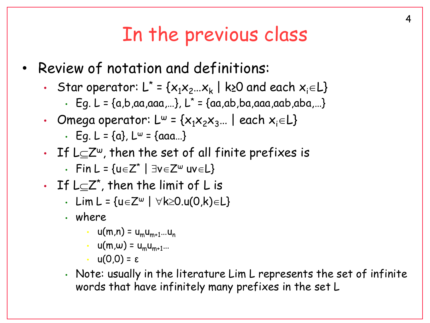### In the previous class

- Review of notation and definitions:
	- Star operator:  $L^* = \{x_1x_2...x_k \mid k$ ≥0 and each  $x_i \in L\}$ 
		- $\cdot$  Eg. L = {a,b,aa,aaa,...}, L<sup>\*</sup> = {aa,ab,ba,aaa,aab,aba,...}
	- Omega operator:  $L^{\omega} = \{x_1x_2x_3...\}$  each  $x_i \in L\}$ 
		- Eq.  $L = \{a\}$ ,  $L^{\omega} = \{aaa...\}$
	- If  $L \subseteq \mathbb{Z}^{\omega}$ , then the set of all finite prefixes is
		- Fin  $L = \{u \in Z^* \mid \exists v \in Z^{\omega} \text{ uv} \in L\}$
	- $\,\cdot\,$  If L $\subseteq$ Z\*, then the limit of L is
		- Lim L =  $\{u \in Z^{\omega} \mid \forall k \ge 0.$ u $(0,k) \in L\}$
		- where
			- $u(m,n) = u_m u_{m+1}...u_n$
			- $u(m,\omega) = u_m u_{m+1}$ …
			- $u(0,0) = ε$
		- Note: usually in the literature Lim L represents the set of infinite words that have infinitely many prefixes in the set L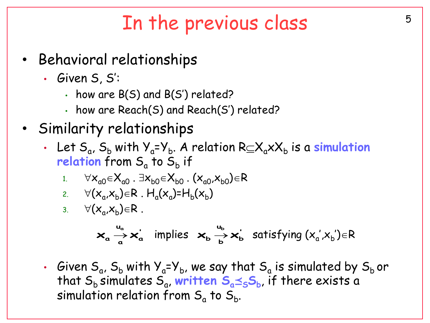## In the previous class The the previous class

- Behavioral relationships
	- Given S, S':
		- $\cdot$  how are B(S) and B(S') related?
		- how are Reach(S) and Reach(S') related?
- Similarity relationships
	- Let  $S_a$ ,  $S_b$  with  $Y_a$ = $Y_b$ . A relation  $R \subseteq X_a \times X_b$  is a simulation relation from S<sub>a</sub> to S<sub>b</sub> if
		- 1.  $\forall x_{a0} \in X_{a0}$ .  $\exists x_{b0} \in X_{b0}$ .  $(x_{a0},x_{b0}) \in R$

2. 
$$
\forall
$$
 ( $x_a$ , $x_b$ ) $\in$ R. H<sub>a</sub>( $x_a$ )=H<sub>b</sub>( $x_b$ )

3.  $\forall (x_a, x_b) \in R$ .

$$
\mathbf{x}_{a} \stackrel{u_{a}}{\rightarrow} \mathbf{x}_{a}^{'} \text{ implies } \mathbf{x}_{b} \stackrel{u_{b}}{\rightarrow} \mathbf{x}_{b}^{'} \text{ satisfying } (x_{a}^{'} , x_{b}^{'} ) \in R
$$

• Given  $\mathsf{S}_{\mathsf{a}}$ ,  $\mathsf{S}_{\mathsf{b}}$  with  $\mathsf{Y}_{\mathsf{a}}$ = $\mathsf{Y}_{\mathsf{b}}$ , we say that  $\mathsf{S}_{\mathsf{a}}$  is simulated by  $\mathsf{S}_{\mathsf{b}}$  or that S<sub>b</sub> simulates S<sub>a</sub>, written S<sub>a</sub> $\leq$ <sub>S</sub>S<sub>b</sub>, if there exists a simulation relation from  $\mathsf{S}_{\mathsf{a}}$  to  $\mathsf{S}_{\mathsf{b}}.$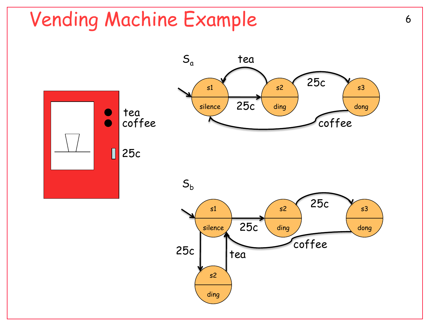## Vending Machine Example 6

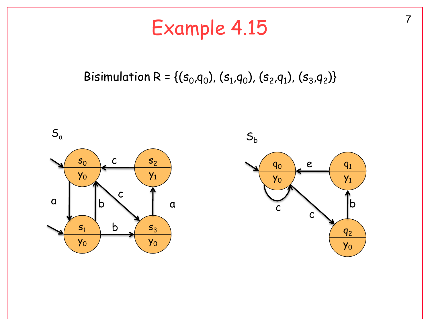## Example 4.15

#### Bisimulation R = {( $s_0$ , $q_0$ ), ( $s_1$ , $q_0$ ), ( $s_2$ , $q_1$ ), ( $s_3$ , $q_2$ )}

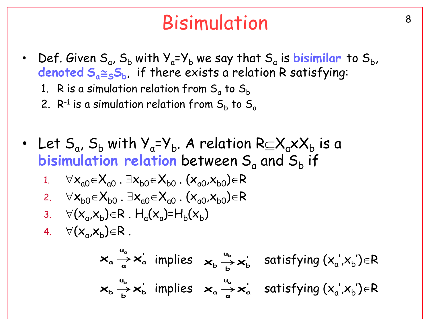## Bisimulation<sup>8</sup>

- Def. Given  $S_a$ ,  $S_b$  with  $Y_a = Y_b$  we say that  $S_a$  is **bisimilar** to  $S_b$ , **denoted SaSS<sup>b</sup>** , if there exists a relation R satisfying:
	- 1.  $\,$  R is a simulation relation from  $\mathsf{S}_{\alpha}$  to  $\mathsf{S}_{\mathsf{b}}$
	- 2.  $\mathsf{R}^{\text{-}1}$  is a simulation relation from  $\mathsf{S}_\mathsf{b}$  to  $\mathsf{S}_\mathsf{a}$
- Let  $S_a$ ,  $S_b$  with  $Y_a = Y_b$ . A relation  $R \subseteq X_a \times X_b$  is a  $\bm{\mathsf{b}}$  isimulation relation between  $\bm{\mathsf{S}}_{\mathsf{a}}$  and  $\bm{\mathsf{S}}_{\mathsf{b}}$  if 1.  $\forall x_{a0} \in X_{a0}$ .  $\exists x_{b0} \in X_{b0}$ .  $(x_{a0},x_{b0}) \in R$ 2.  $\forall x_{b0} \in X_{b0}$ .  $\exists x_{a0} \in X_{a0}$ .  $(x_{a0},x_{b0}) \in R$ 3.  $\forall (x_a, x_b) \in R$ .  $H_a(x_a) = H_b(x_b)$ 4.  $\forall (x_a, x_b) \in R$ . implies satisfying (x<sup>a</sup> ',x<sup>b</sup> ')R **' a**  $\mathbf{x}_{\mathsf{a}} \xrightarrow[\mathsf{a}]{\sim} \mathsf{x}_{\mathsf{a}}^{\mathsf{a}}$  satisfying  $(\mathsf{x}_{\mathsf{a}}^{\mathsf{a}} , \mathsf{x}_{\mathsf{b}}^{\mathsf{b}}) \in \mathsf{R}$ **u**  $\mathsf{X}_{\mathsf{a}} \xrightarrow[\mathsf{a}]{\mathsf{u}_{\mathsf{a}}} \mathsf{X}$ **' b u**  $\mathsf{x}_{\mathsf{b}} \xrightarrow[\mathsf{b}]{\mathsf{u}_{\mathsf{b}}} \mathsf{x}$ **u**  $\mathbf{x}_{\mathsf{b}} \stackrel{u_{\mathsf{b}}}{\rightarrow} \mathbf{x}_{\mathsf{b}}^{'}$  implies  $\mathbf{x}_{\mathsf{a}} \stackrel{u_{\mathsf{a}}}{\rightarrow} \mathbf{x}_{\mathsf{a}}^{'}$ **u**  $\mathsf{X}_{\mathsf{a}} \xrightarrow[\mathsf{a}]{\mathsf{u}_{\mathsf{a}}} \mathsf{X}$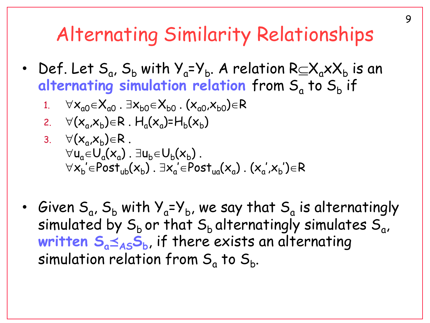### Alternating Similarity Relationships

- Def. Let  $S_a$ ,  $S_b$  with  $Y_a = Y_b$ . A relation  $R \subseteq X_a \times X_b$  is an alternating simulation relation from S<sub>a</sub> to S<sub>b</sub> if
	- 1.  $\forall x_{a0} \in X_{a0}$ .  $\exists x_{b0} \in X_{b0}$ .  $(x_{a0},x_{b0}) \in R$
	- 2.  $\forall (x_a, x_b) \in R$ .  $H_a(x_a) = H_b(x_b)$
	- 3.  $\forall (x_a, x_b) \in R$ .  $\forall$ u<sub>a</sub> $\in$ U<sub>a</sub> $(x_a)$ .  $\exists$ u<sub>b</sub> $\in$ U<sub>b</sub> $(x_b)$ .  $\forall$  $x_{\mathsf{b}}'$  $\in$ Post $_{\mathsf{ub}}(x_{\mathsf{b}})$  .  $\exists$  $x_{\mathsf{a}}'$  $\in$ Post $_{\mathsf{ua}}(x_{\mathsf{a}})$  .  $(x_{\mathsf{a}}',$  $x_{\mathsf{b}}')$  $\in$ R ' '
- Given  $\mathsf{S}_{\mathsf{a}}$ ,  $\mathsf{S}_{\mathsf{b}}$  with  $\mathsf{Y}_{\mathsf{a}}\textup{=} \mathsf{Y}_{\mathsf{b}}$ , we say that  $\mathsf{S}_{\mathsf{a}}$  is alternatingly simulated by  $\mathsf{S}_\mathsf{b}$  or that  $\mathsf{S}_\mathsf{b}$  alternatingly simulates  $\mathsf{S}_\mathsf{a}$ , **written SaASS<sup>b</sup>** , if there exists an alternating simulation relation from  $\mathsf{S}_{\mathsf{a}}$  to  $\mathsf{S}_{\mathsf{b}}.$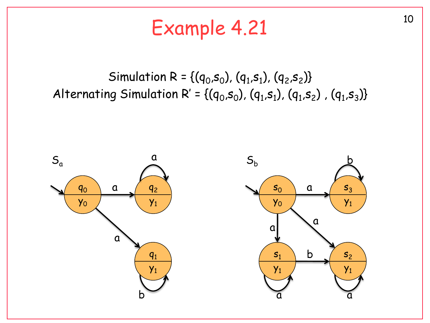# Example 4.21 10

#### Simulation R = { $(q_0, s_0)$ ,  $(q_1, s_1)$ ,  $(q_2, s_2)$ } Alternating Simulation R' = {( $q_0$ , $s_0$ ), ( $q_1$ , $s_1$ ), ( $q_1$ , $s_2$ ), ( $q_1$ , $s_3$ )}